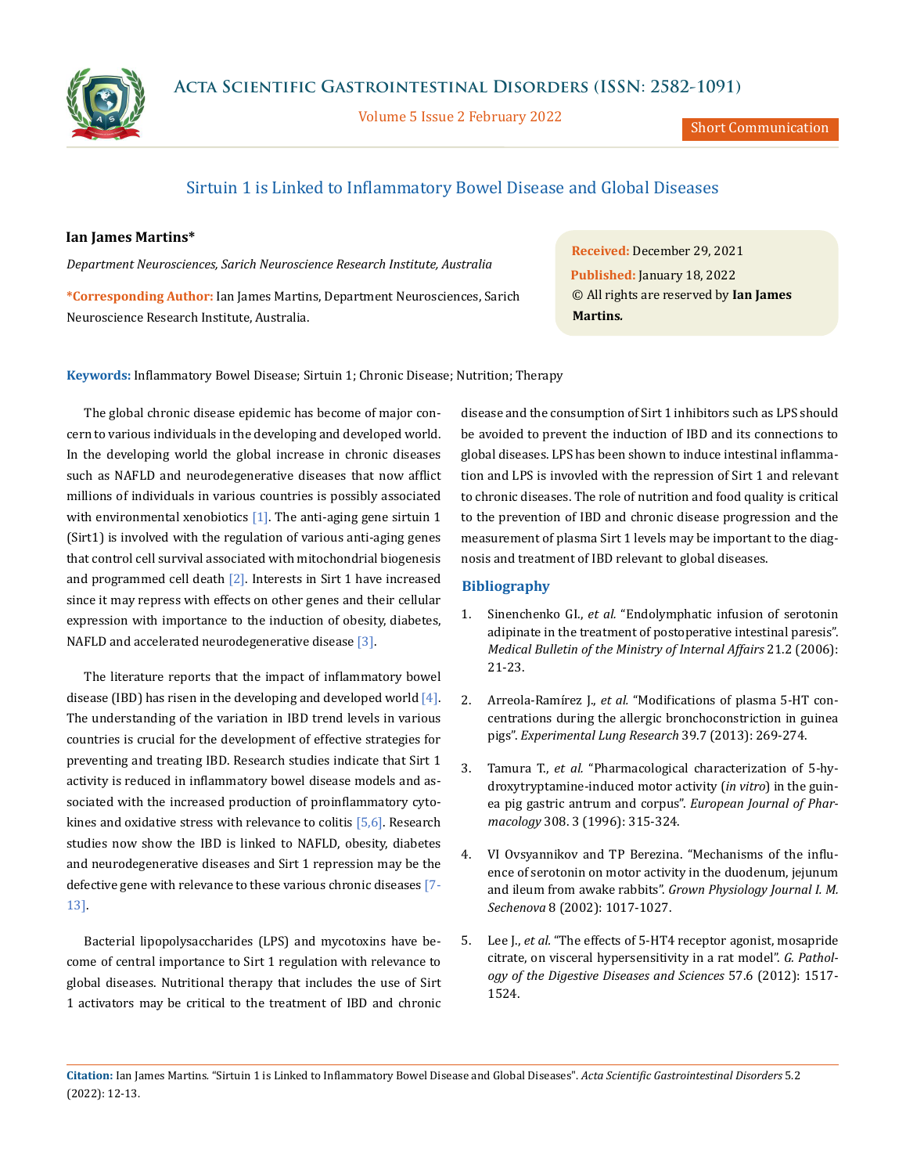

Volume 5 Issue 2 February 2022

Short Communication

## Sirtuin 1 is Linked to Inflammatory Bowel Disease and Global Diseases

## **Ian James Martins\***

*Department Neurosciences, Sarich Neuroscience Research Institute, Australia*

**\*Corresponding Author:** Ian James Martins, Department Neurosciences, Sarich Neuroscience Research Institute, Australia.

**Received:** December 29, 2021 **Published:** January 18, 2022 © All rights are reserved by **Ian James Martins***.*

**Keywords:** Inflammatory Bowel Disease; Sirtuin 1; Chronic Disease; Nutrition; Therapy

The global chronic disease epidemic has become of major concern to various individuals in the developing and developed world. In the developing world the global increase in chronic diseases such as NAFLD and neurodegenerative diseases that now afflict millions of individuals in various countries is possibly associated with environmental xenobiotics  $[1]$ . The anti-aging gene sirtuin 1 (Sirt1) is involved with the regulation of various anti-aging genes that control cell survival associated with mitochondrial biogenesis and programmed cell death [2]. Interests in Sirt 1 have increased since it may repress with effects on other genes and their cellular expression with importance to the induction of obesity, diabetes, NAFLD and accelerated neurodegenerative disease [3].

The literature reports that the impact of inflammatory bowel disease (IBD) has risen in the developing and developed world  $[4]$ . The understanding of the variation in IBD trend levels in various countries is crucial for the development of effective strategies for preventing and treating IBD. Research studies indicate that Sirt 1 activity is reduced in inflammatory bowel disease models and associated with the increased production of proinflammatory cytokines and oxidative stress with relevance to colitis  $[5,6]$ . Research studies now show the IBD is linked to NAFLD, obesity, diabetes and neurodegenerative diseases and Sirt 1 repression may be the defective gene with relevance to these various chronic diseases [7- 13].

Bacterial lipopolysaccharides (LPS) and mycotoxins have become of central importance to Sirt 1 regulation with relevance to global diseases. Nutritional therapy that includes the use of Sirt 1 activators may be critical to the treatment of IBD and chronic disease and the consumption of Sirt 1 inhibitors such as LPS should be avoided to prevent the induction of IBD and its connections to global diseases. LPS has been shown to induce intestinal inflammation and LPS is invovled with the repression of Sirt 1 and relevant to chronic diseases. The role of nutrition and food quality is critical to the prevention of IBD and chronic disease progression and the measurement of plasma Sirt 1 levels may be important to the diagnosis and treatment of IBD relevant to global diseases.

## **Bibliography**

- 1. Sinenchenko GI., *et al.* "Endolymphatic infusion of serotonin adipinate in the treatment of postoperative intestinal paresis". *Medical Bulletin of the Ministry of Internal Affairs* 21.2 (2006): 21-23.
- 2. Arreola-Ramírez J., *et al.* ["Modifications of plasma 5-HT con](https://pubmed.ncbi.nlm.nih.gov/23848294/)[centrations during the allergic bronchoconstriction in guinea](https://pubmed.ncbi.nlm.nih.gov/23848294/)  pigs". *[Experimental Lung Research](https://pubmed.ncbi.nlm.nih.gov/23848294/)* 39.7 (2013): 269-274.
- 3. Tamura T., *et al.* ["Pharmacological characterization of 5-hy](https://pubmed.ncbi.nlm.nih.gov/8858306/)[droxytryptamine-induced motor activity \(](https://pubmed.ncbi.nlm.nih.gov/8858306/)*in vitro*) in the guin[ea pig gastric antrum and corpus".](https://pubmed.ncbi.nlm.nih.gov/8858306/) *European Journal of Pharmacology* [308. 3 \(1996\): 315-324.](https://pubmed.ncbi.nlm.nih.gov/8858306/)
- 4. VI [Ovsyannikov and TP Berezina. "Mechanisms of the influ](https://pubmed.ncbi.nlm.nih.gov/12503449/)[ence of serotonin on motor activity in the duodenum, jejunum](https://pubmed.ncbi.nlm.nih.gov/12503449/)  [and ileum from awake rabbits".](https://pubmed.ncbi.nlm.nih.gov/12503449/) *Grown Physiology Journal I. M. Sechenova* [8 \(2002\): 1017-1027.](https://pubmed.ncbi.nlm.nih.gov/12503449/)
- 5. Lee J., *et al.* ["The effects of 5-HT4 receptor agonist, mosapride](https://pubmed.ncbi.nlm.nih.gov/22427128/)  [citrate, on visceral hypersensitivity in a rat model".](https://pubmed.ncbi.nlm.nih.gov/22427128/) *G. Pathol[ogy of the Digestive Diseases and Sciences](https://pubmed.ncbi.nlm.nih.gov/22427128/)* 57.6 (2012): 1517- [1524.](https://pubmed.ncbi.nlm.nih.gov/22427128/)

**Citation:** Ian James Martins*.* "Sirtuin 1 is Linked to Inflammatory Bowel Disease and Global Diseases". *Acta Scientific Gastrointestinal Disorders* 5.2 (2022): 12-13.